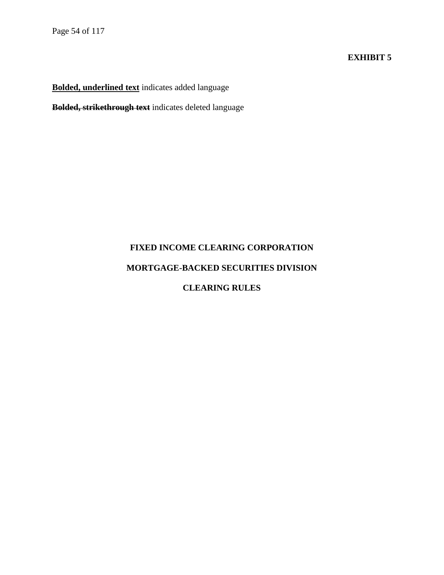#### **EXHIBIT 5**

**Bolded, underlined text** indicates added language

**Bolded, strikethrough text** indicates deleted language

# **FIXED INCOME CLEARING CORPORATION**

## **MORTGAGE-BACKED SECURITIES DIVISION**

## **CLEARING RULES**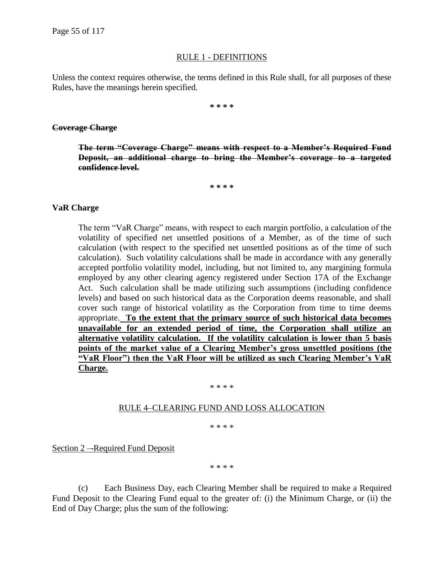#### RULE 1 - DEFINITIONS

Unless the context requires otherwise, the terms defined in this Rule shall, for all purposes of these Rules, have the meanings herein specified.

**\* \* \* \***

#### **Coverage Charge**

**The term "Coverage Charge" means with respect to a Member's Required Fund Deposit, an additional charge to bring the Member's coverage to a targeted confidence level.**

**\* \* \* \***

#### **VaR Charge**

The term "VaR Charge" means, with respect to each margin portfolio, a calculation of the volatility of specified net unsettled positions of a Member, as of the time of such calculation (with respect to the specified net unsettled positions as of the time of such calculation). Such volatility calculations shall be made in accordance with any generally accepted portfolio volatility model, including, but not limited to, any margining formula employed by any other clearing agency registered under Section 17A of the Exchange Act. Such calculation shall be made utilizing such assumptions (including confidence levels) and based on such historical data as the Corporation deems reasonable, and shall cover such range of historical volatility as the Corporation from time to time deems appropriate. **To the extent that the primary source of such historical data becomes unavailable for an extended period of time, the Corporation shall utilize an alternative volatility calculation. If the volatility calculation is lower than 5 basis points of the market value of a Clearing Member's gross unsettled positions (the "VaR Floor") then the VaR Floor will be utilized as such Clearing Member's VaR Charge.**

#### \* \* \* \*

#### RULE 4–CLEARING FUND AND LOSS ALLOCATION

\* \* \* \*

Section 2 – Required Fund Deposit

\* \* \* \*

(c) Each Business Day, each Clearing Member shall be required to make a Required Fund Deposit to the Clearing Fund equal to the greater of: (i) the Minimum Charge, or (ii) the End of Day Charge; plus the sum of the following: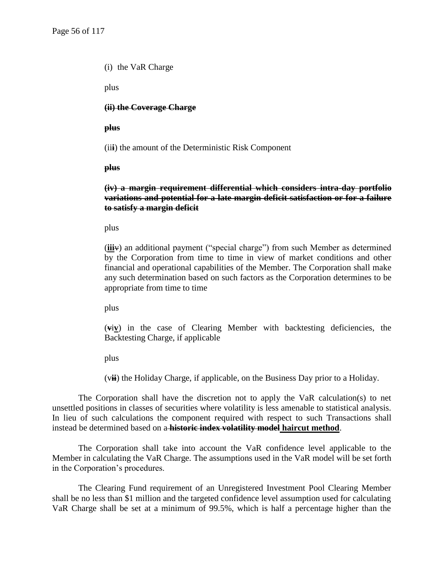(i) the VaR Charge

plus

**(ii) the Coverage Charge**

#### **plus**

(ii**i**) the amount of the Deterministic Risk Component

#### **plus**

#### **(iv) a margin requirement differential which considers intra-day portfolio variations and potential for a late margin deficit satisfaction or for a failure to satisfy a margin deficit**

plus

(**iii**v) an additional payment ("special charge") from such Member as determined by the Corporation from time to time in view of market conditions and other financial and operational capabilities of the Member. The Corporation shall make any such determination based on such factors as the Corporation determines to be appropriate from time to time

plus

(**v**i**v**) in the case of Clearing Member with backtesting deficiencies, the Backtesting Charge, if applicable

plus

(v**ii**) the Holiday Charge, if applicable, on the Business Day prior to a Holiday.

The Corporation shall have the discretion not to apply the VaR calculation(s) to net unsettled positions in classes of securities where volatility is less amenable to statistical analysis. In lieu of such calculations the component required with respect to such Transactions shall instead be determined based on a **historic index volatility model haircut method**.

The Corporation shall take into account the VaR confidence level applicable to the Member in calculating the VaR Charge. The assumptions used in the VaR model will be set forth in the Corporation's procedures.

The Clearing Fund requirement of an Unregistered Investment Pool Clearing Member shall be no less than \$1 million and the targeted confidence level assumption used for calculating VaR Charge shall be set at a minimum of 99.5%, which is half a percentage higher than the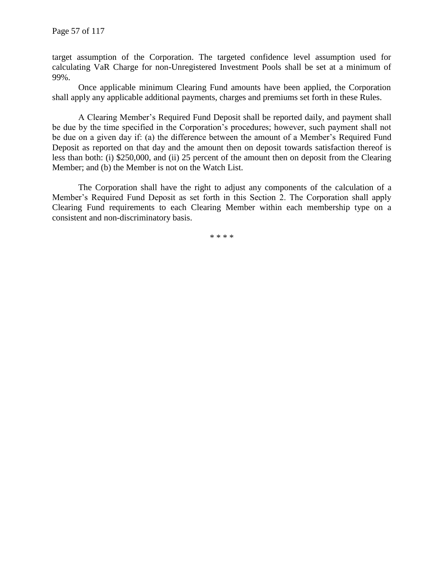target assumption of the Corporation. The targeted confidence level assumption used for calculating VaR Charge for non-Unregistered Investment Pools shall be set at a minimum of 99%.

Once applicable minimum Clearing Fund amounts have been applied, the Corporation shall apply any applicable additional payments, charges and premiums set forth in these Rules.

A Clearing Member's Required Fund Deposit shall be reported daily, and payment shall be due by the time specified in the Corporation's procedures; however, such payment shall not be due on a given day if: (a) the difference between the amount of a Member's Required Fund Deposit as reported on that day and the amount then on deposit towards satisfaction thereof is less than both: (i) \$250,000, and (ii) 25 percent of the amount then on deposit from the Clearing Member; and (b) the Member is not on the Watch List.

The Corporation shall have the right to adjust any components of the calculation of a Member's Required Fund Deposit as set forth in this Section 2. The Corporation shall apply Clearing Fund requirements to each Clearing Member within each membership type on a consistent and non-discriminatory basis.

\* \* \* \*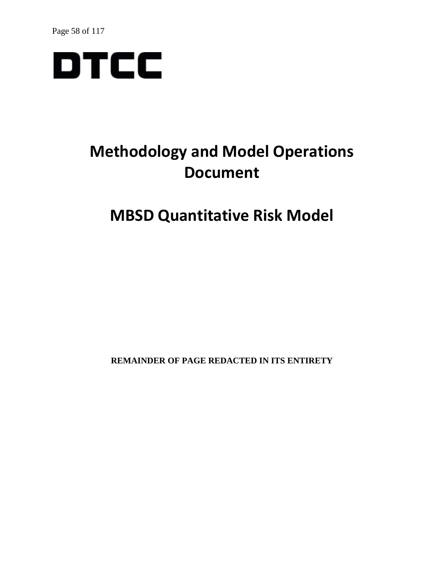

## **Methodology and Model Operations Document**

## **MBSD Quantitative Risk Model**

**REMAINDER OF PAGE REDACTED IN ITS ENTIRETY**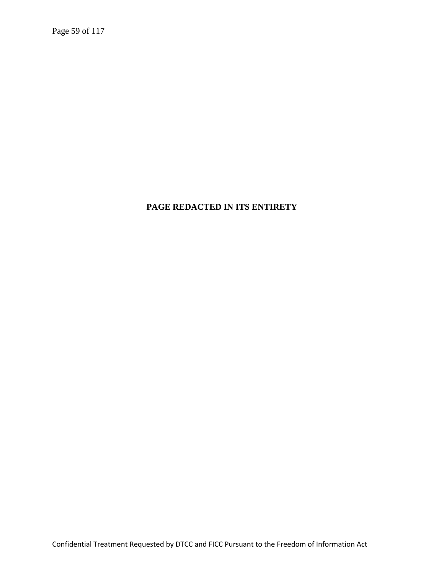Page 59 of 117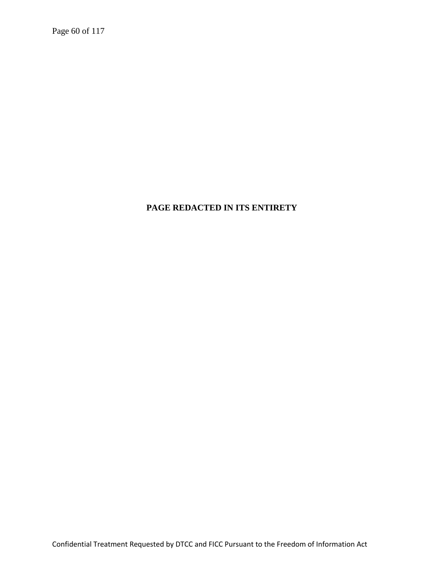Page 60 of 117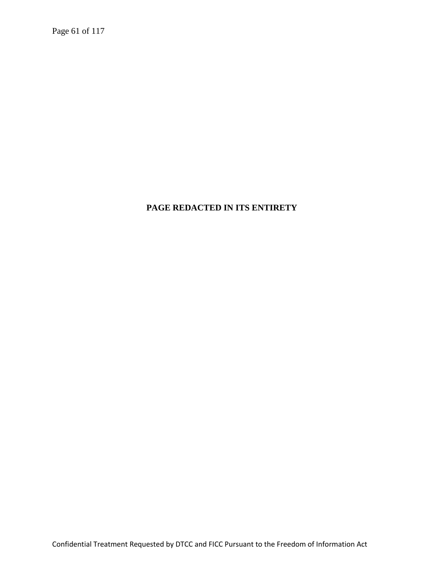Page 61 of 117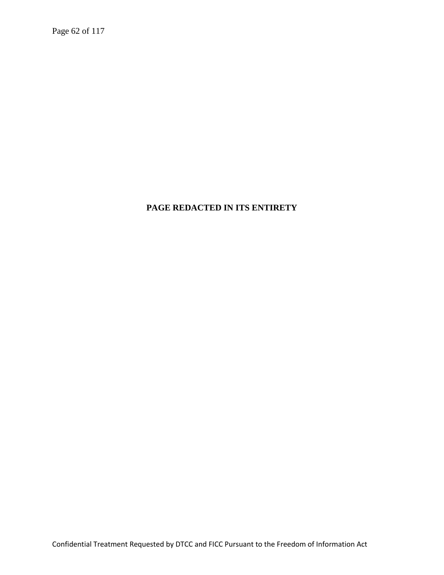Page 62 of 117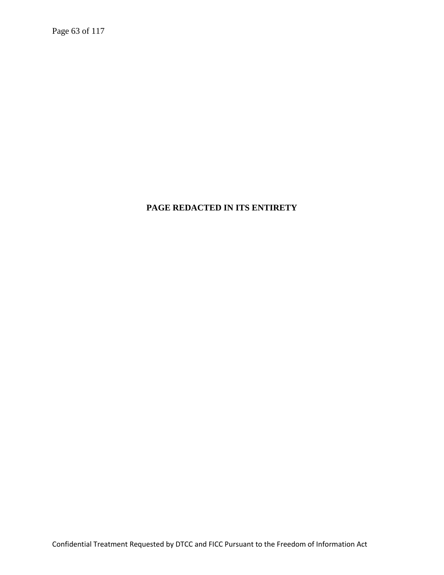Page 63 of 117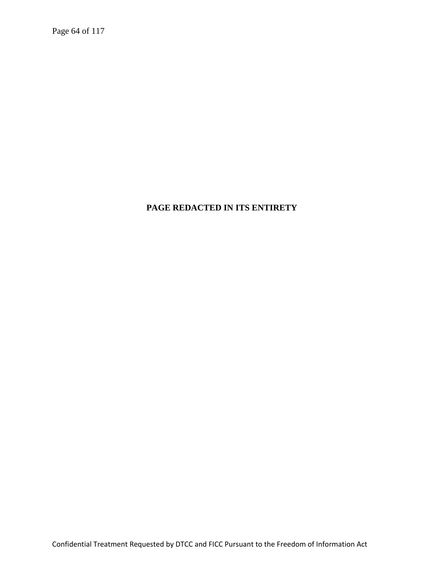Page 64 of 117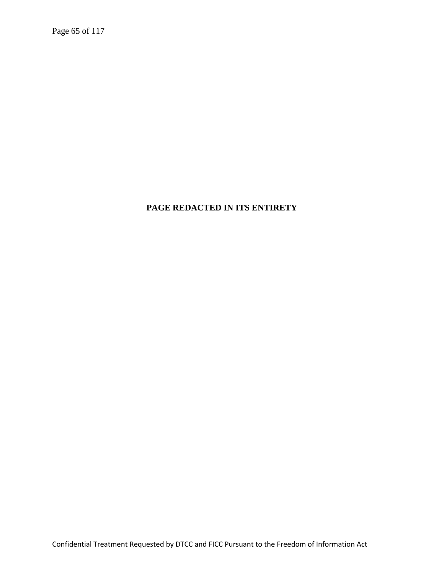Page 65 of 117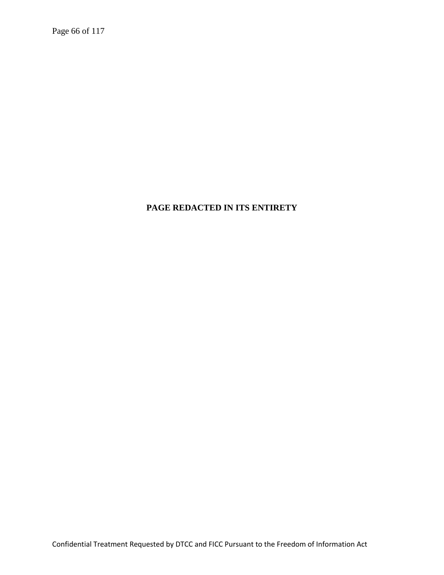Page 66 of 117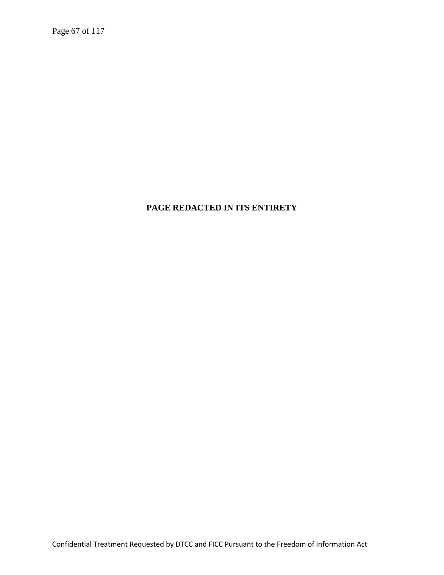Page 67 of 117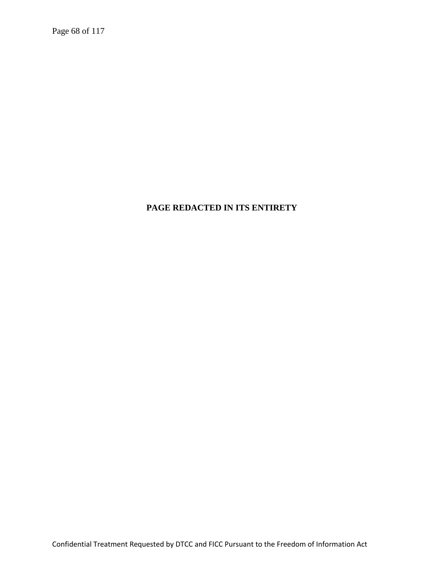Page 68 of 117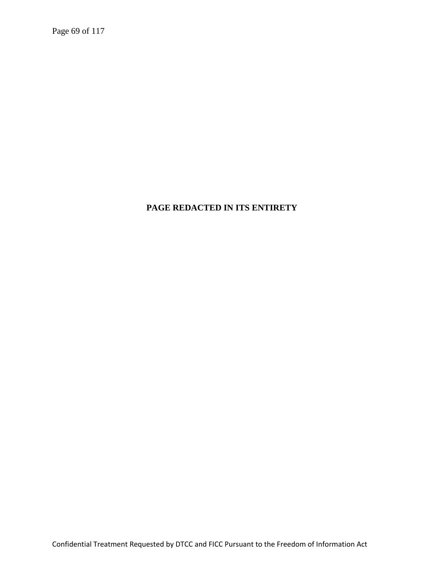Page 69 of 117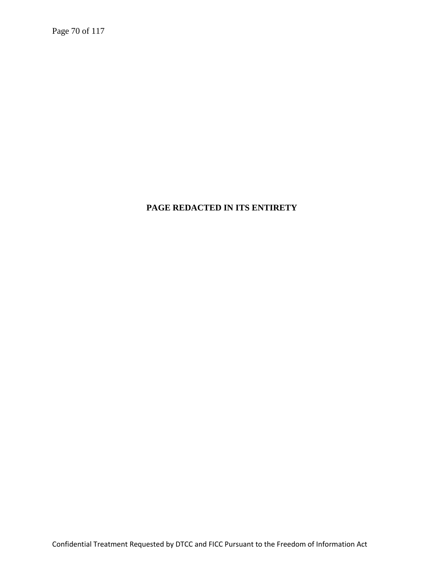Page 70 of 117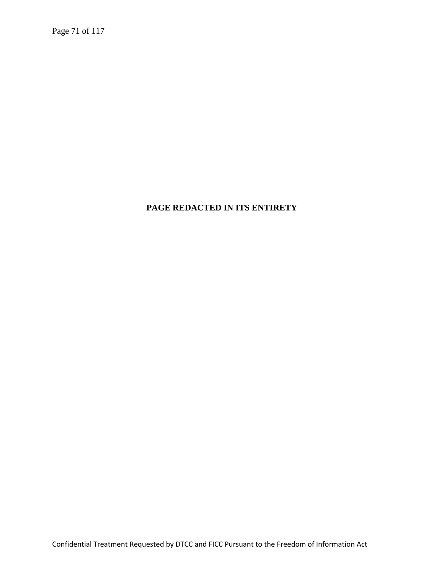Page 71 of 117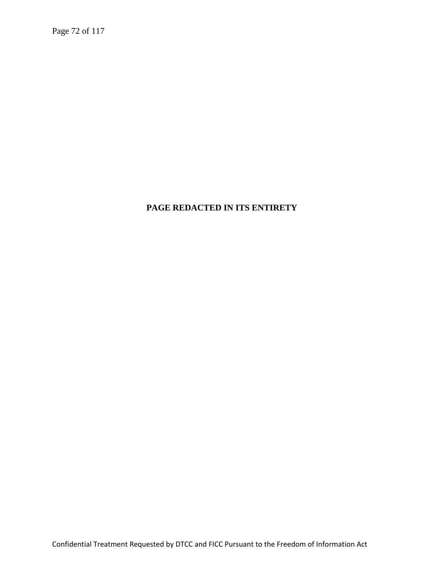Page 72 of 117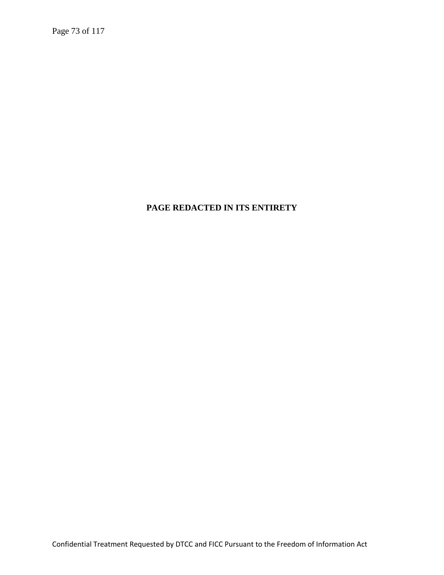Page 73 of 117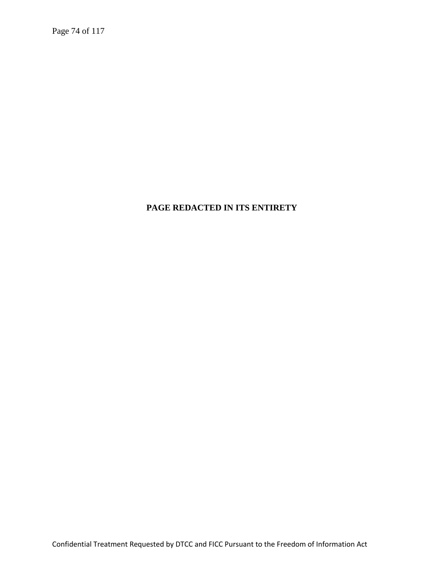Page 74 of 117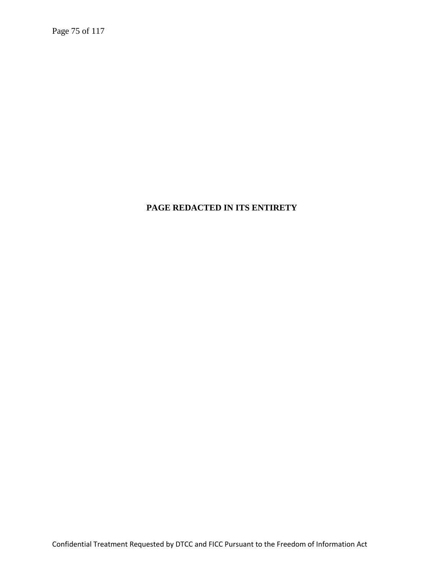Page 75 of 117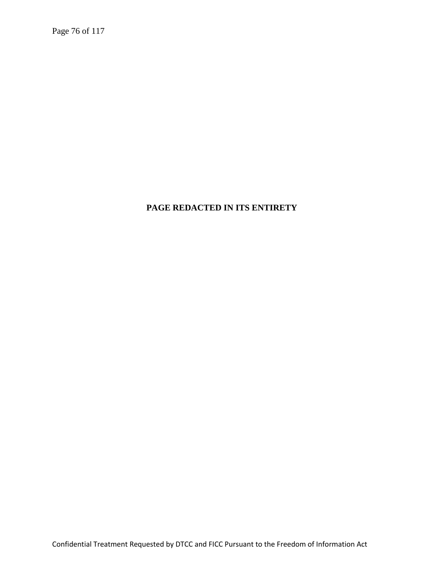Page 76 of 117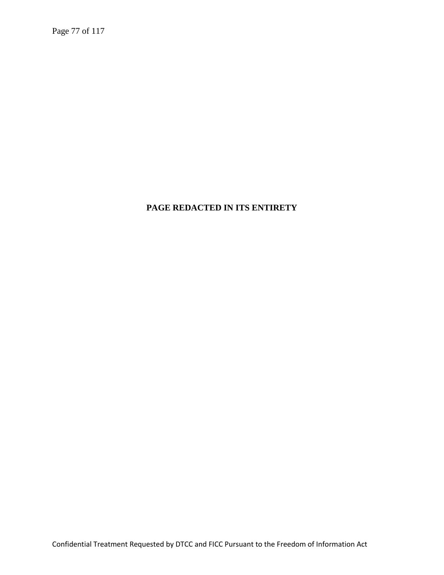Page 77 of 117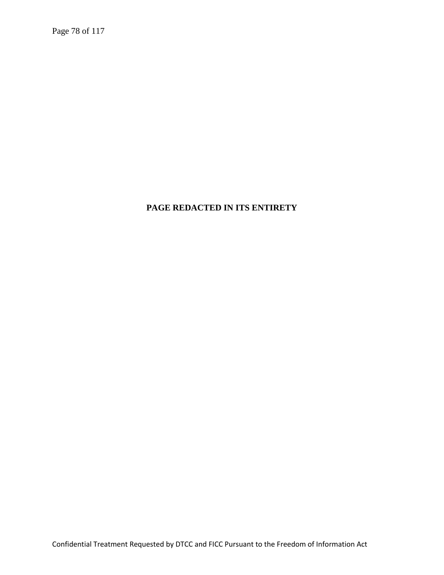Page 78 of 117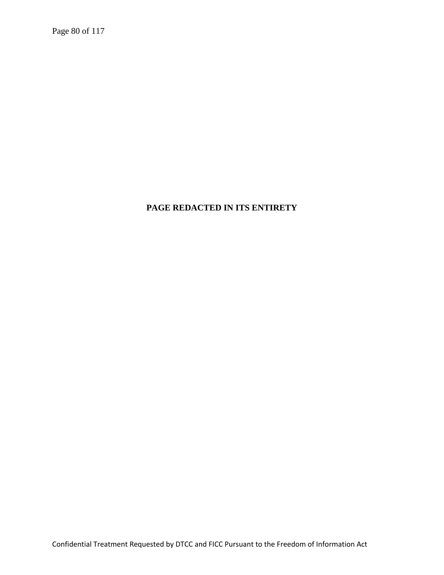Page 80 of 117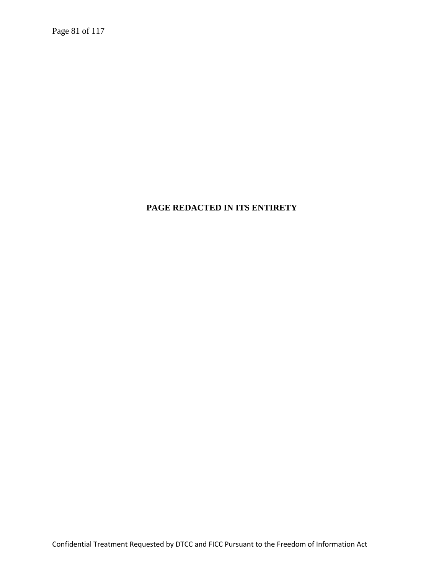Page 81 of 117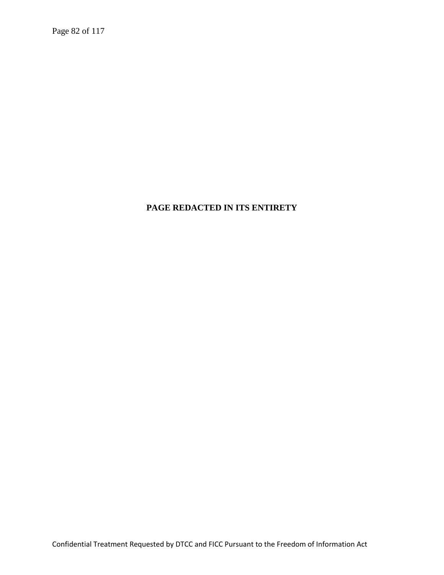Page 82 of 117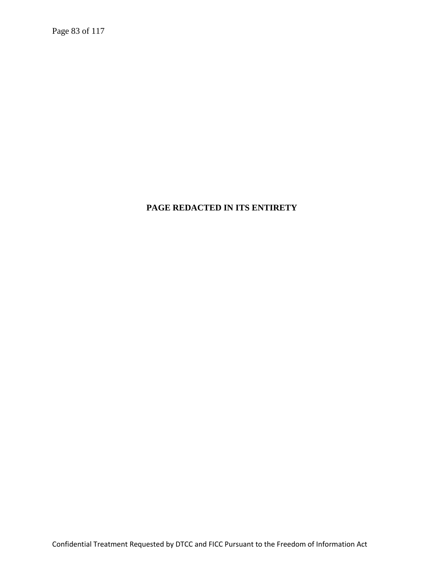Page 83 of 117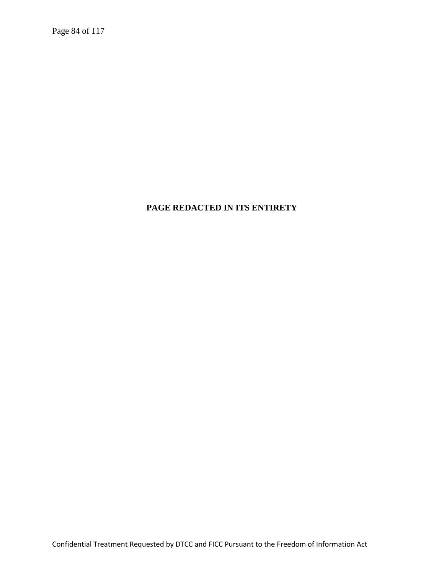Page 84 of 117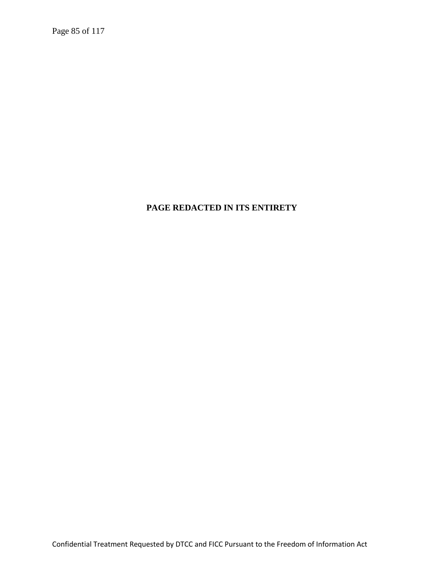Page 85 of 117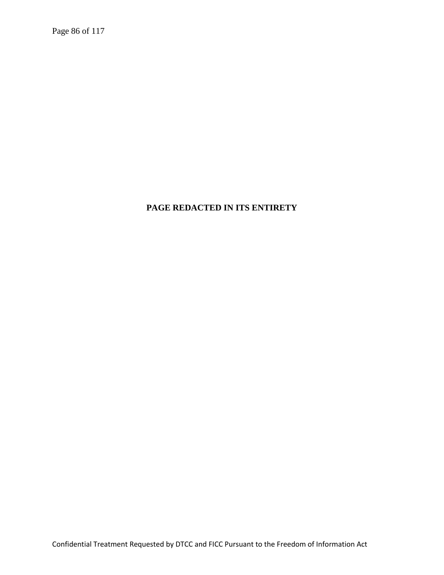Page 86 of 117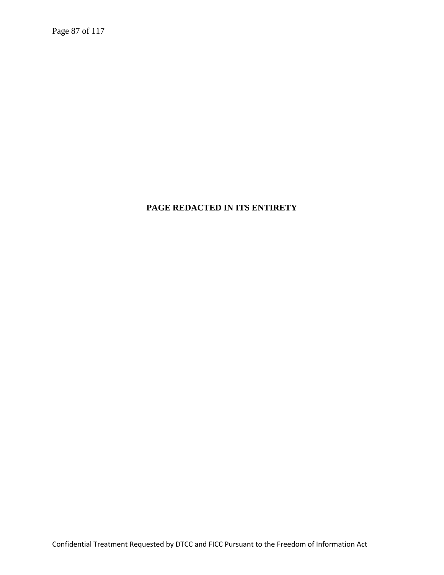Page 87 of 117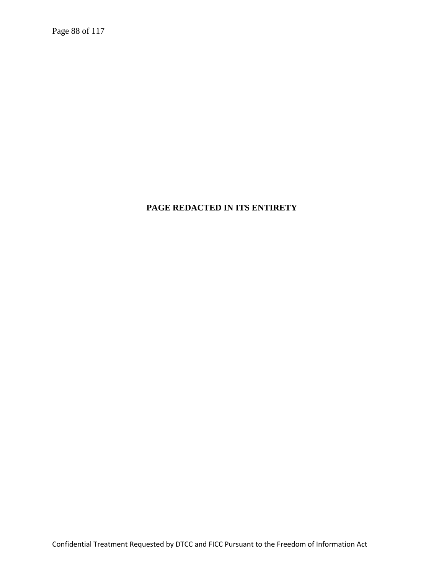Page 88 of 117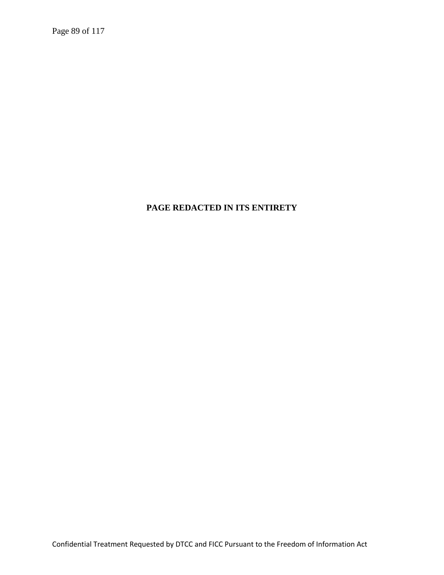Page 89 of 117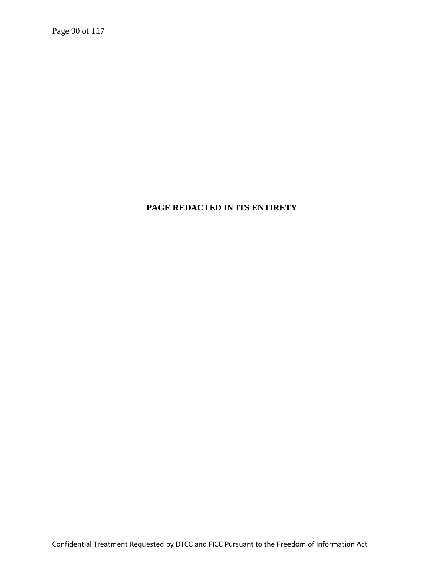Page 90 of 117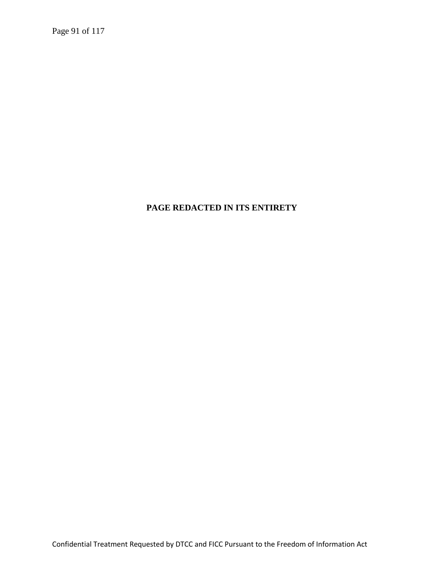Page 91 of 117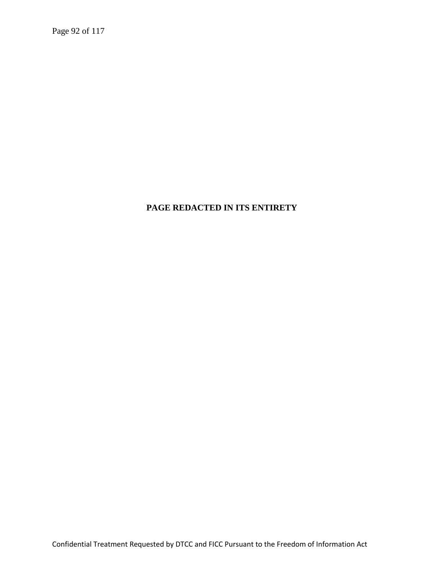Page 92 of 117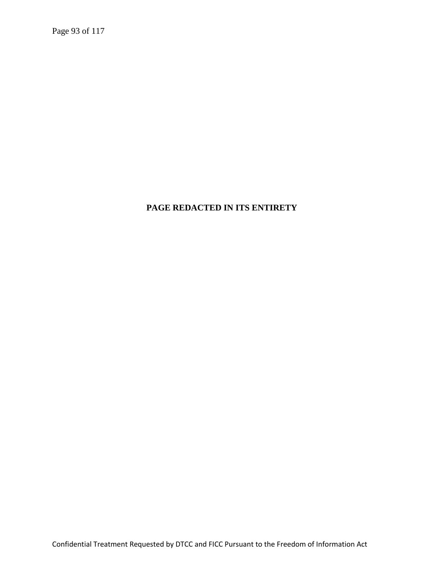Page 93 of 117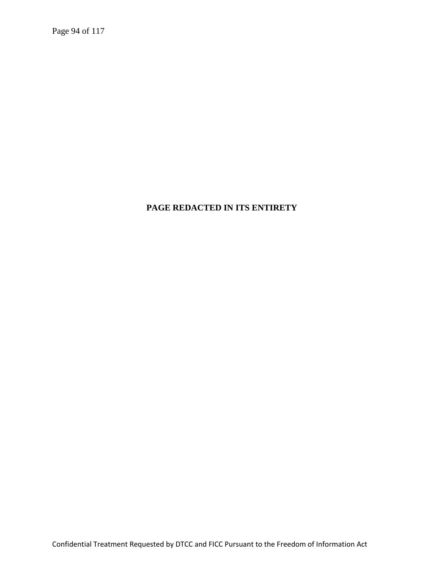Page 94 of 117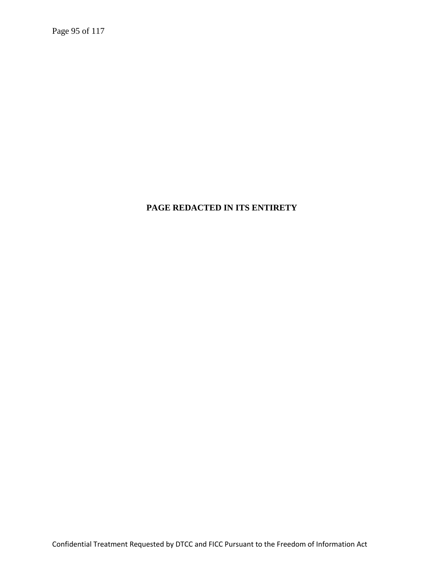Page 95 of 117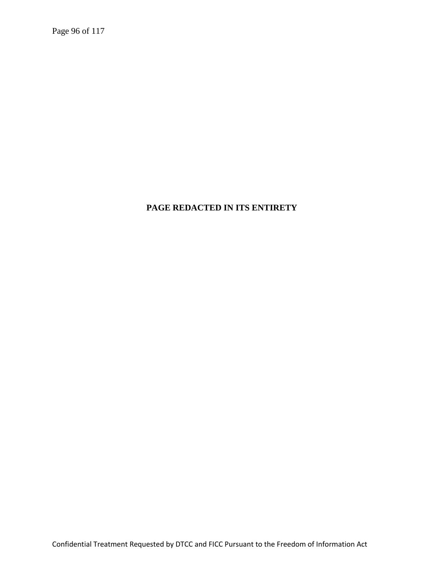Page 96 of 117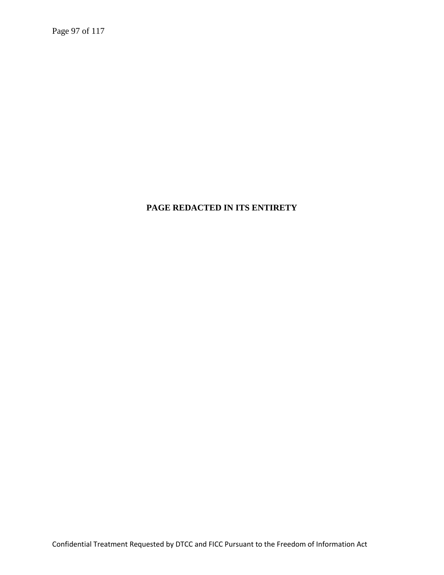Page 97 of 117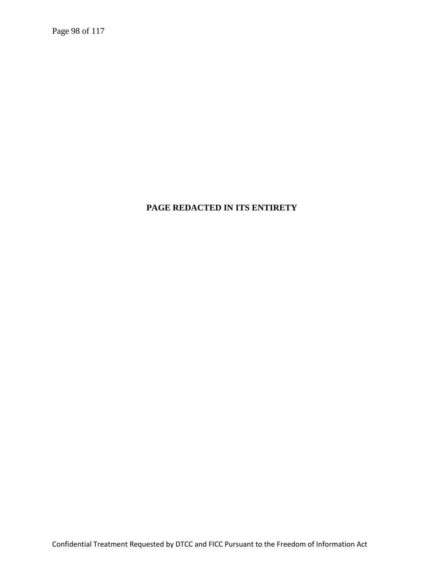Page 98 of 117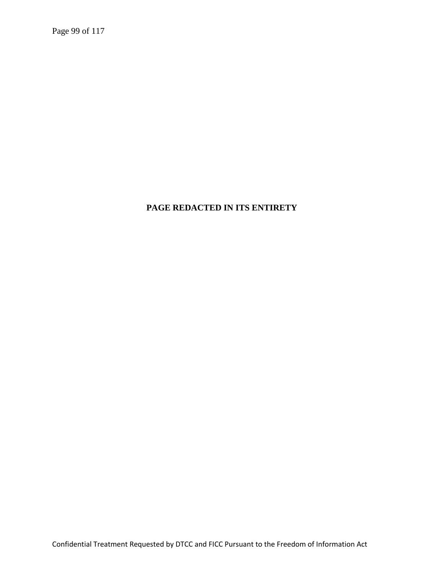Page 99 of 117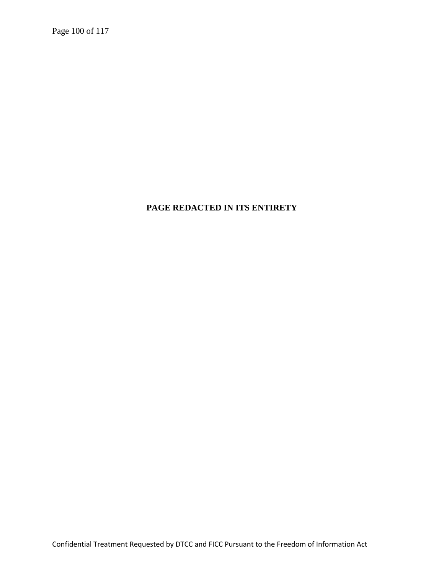Page 100 of 117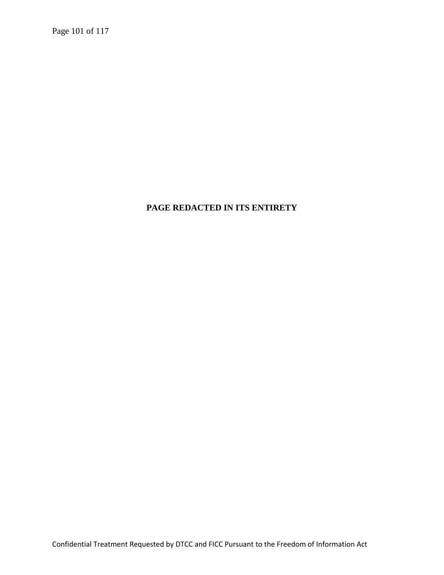Page 101 of 117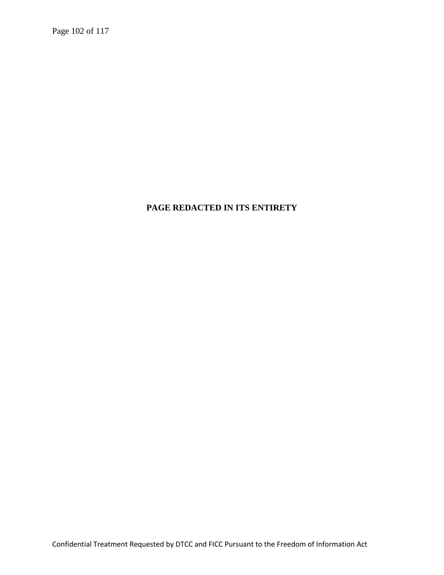Page 102 of 117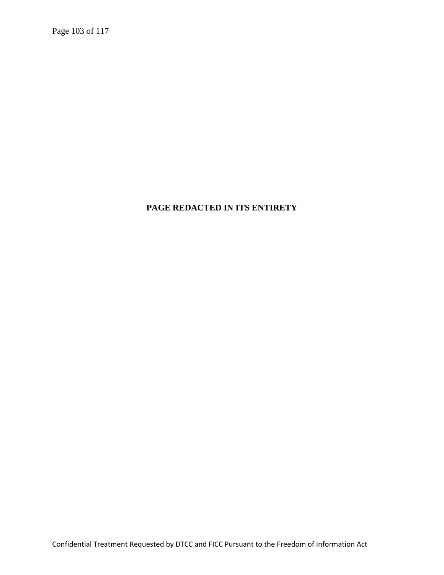Page 103 of 117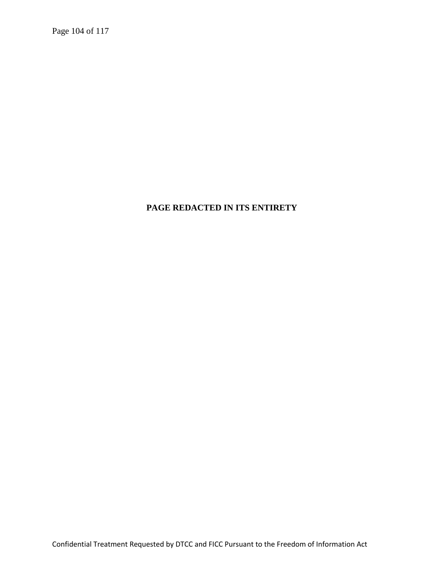Page 104 of 117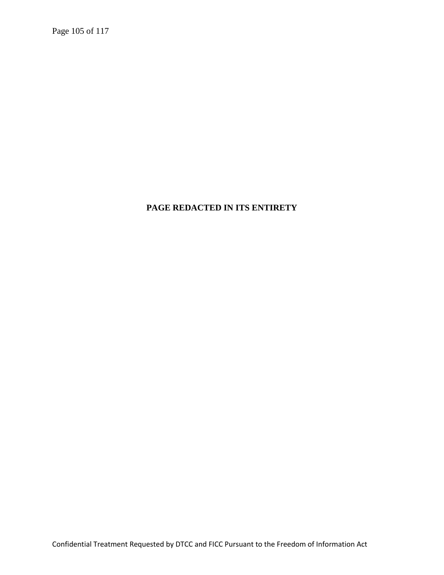Page 105 of 117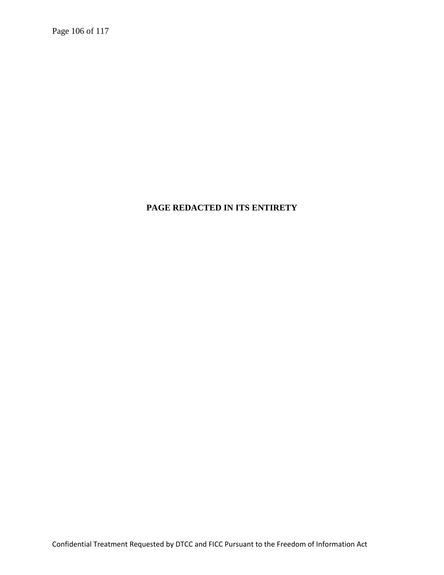Page 106 of 117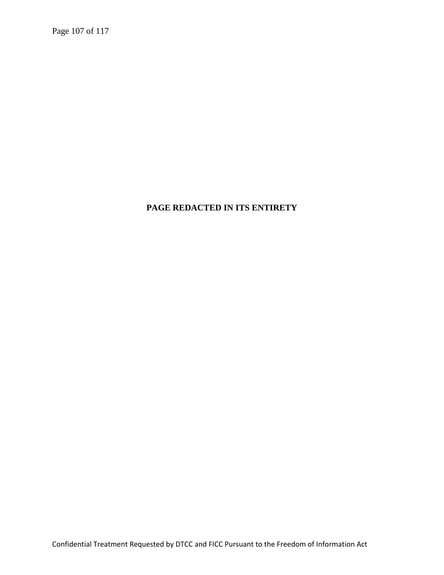Page 107 of 117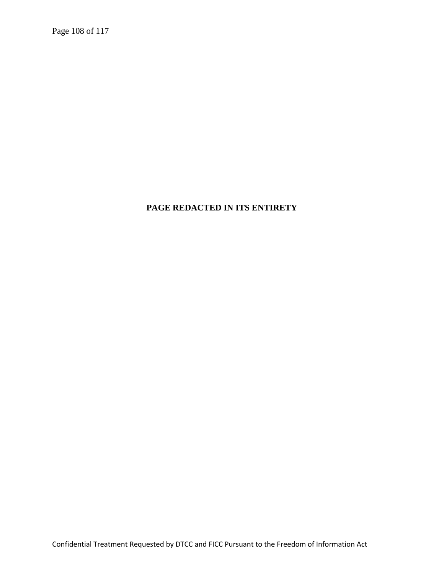Page 108 of 117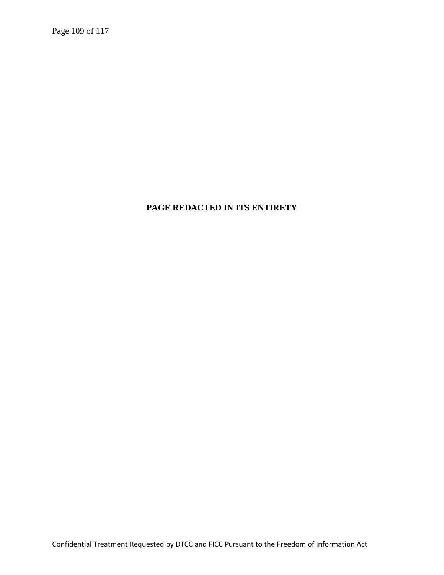Page 109 of 117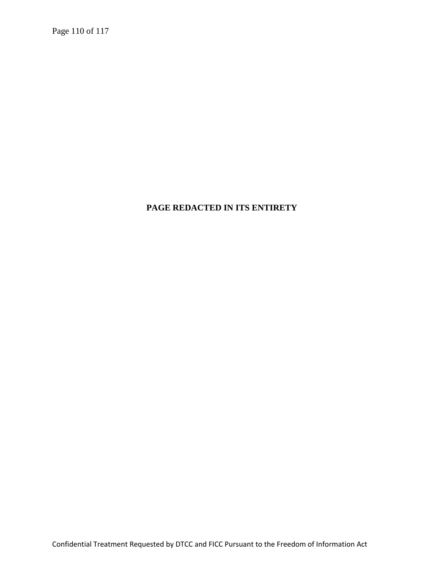Page 110 of 117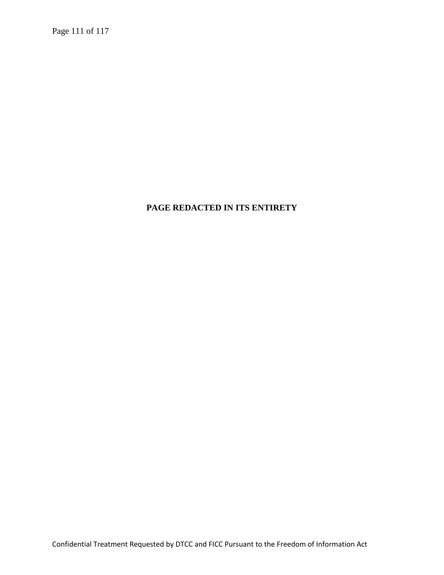Page 111 of 117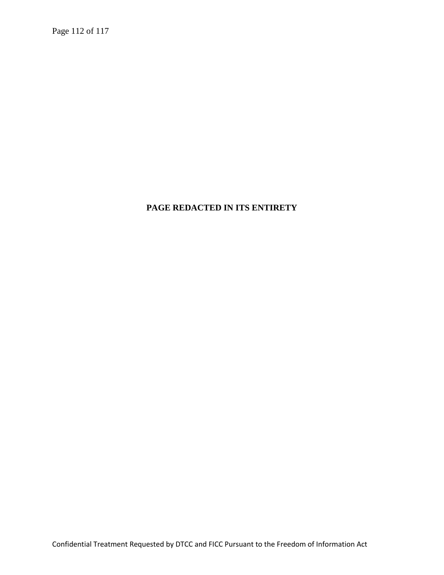Page 112 of 117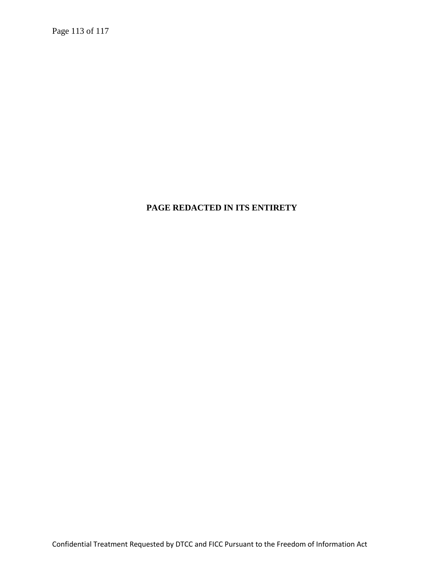Page 113 of 117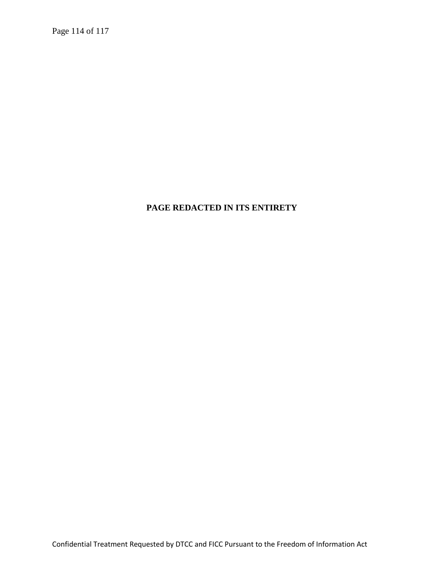Page 114 of 117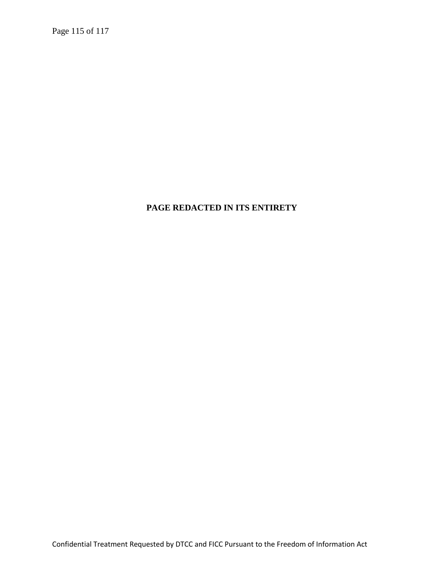Page 115 of 117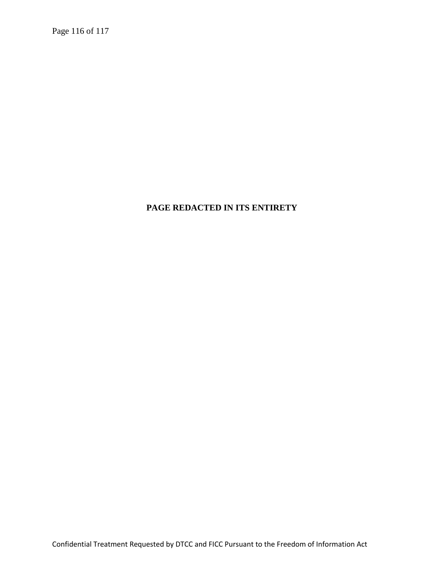Page 116 of 117